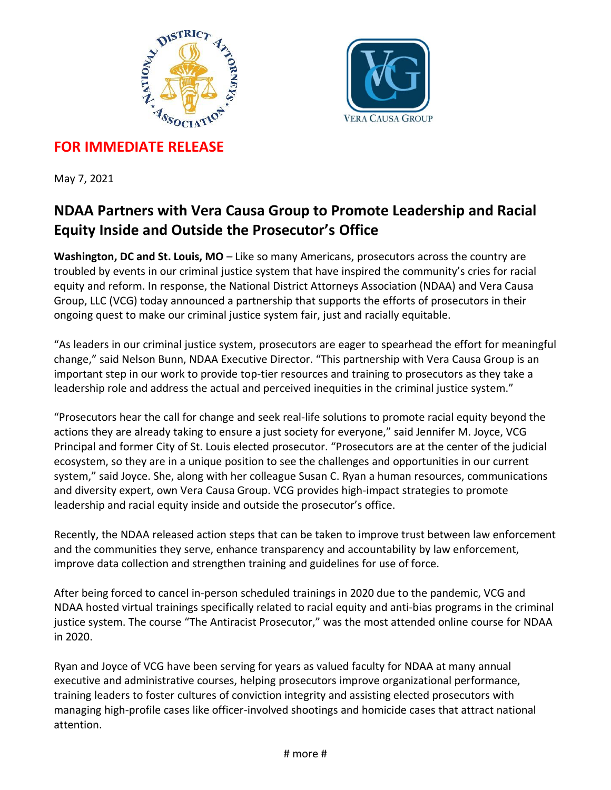



## **FOR IMMEDIATE RELEASE**

May 7, 2021

## **NDAA Partners with Vera Causa Group to Promote Leadership and Racial Equity Inside and Outside the Prosecutor's Office**

**Washington, DC and St. Louis, MO** – Like so many Americans, prosecutors across the country are troubled by events in our criminal justice system that have inspired the community's cries for racial equity and reform. In response, the National District Attorneys Association (NDAA) and Vera Causa Group, LLC (VCG) today announced a partnership that supports the efforts of prosecutors in their ongoing quest to make our criminal justice system fair, just and racially equitable.

"As leaders in our criminal justice system, prosecutors are eager to spearhead the effort for meaningful change," said Nelson Bunn, NDAA Executive Director. "This partnership with Vera Causa Group is an important step in our work to provide top-tier resources and training to prosecutors as they take a leadership role and address the actual and perceived inequities in the criminal justice system."

"Prosecutors hear the call for change and seek real-life solutions to promote racial equity beyond the actions they are already taking to ensure a just society for everyone," said Jennifer M. Joyce, VCG Principal and former City of St. Louis elected prosecutor. "Prosecutors are at the center of the judicial ecosystem, so they are in a unique position to see the challenges and opportunities in our current system," said Joyce. She, along with her colleague Susan C. Ryan a human resources, communications and diversity expert, own Vera Causa Group. VCG provides high-impact strategies to promote leadership and racial equity inside and outside the prosecutor's office.

Recently, the NDAA released action steps that can be taken to improve trust between law enforcement and the communities they serve, enhance transparency and accountability by law enforcement, improve data collection and strengthen training and guidelines for use of force.

After being forced to cancel in-person scheduled trainings in 2020 due to the pandemic, VCG and NDAA hosted virtual trainings specifically related to racial equity and anti-bias programs in the criminal justice system. The course "The Antiracist Prosecutor," was the most attended online course for NDAA in 2020.

Ryan and Joyce of VCG have been serving for years as valued faculty for NDAA at many annual executive and administrative courses, helping prosecutors improve organizational performance, training leaders to foster cultures of conviction integrity and assisting elected prosecutors with managing high-profile cases like officer-involved shootings and homicide cases that attract national attention.